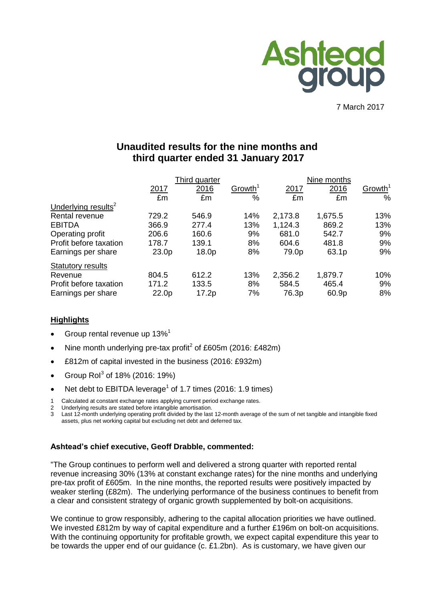

7 March 2017

# **Unaudited results for the nine months and third quarter ended 31 January 2017**

|                                 | Third quarter |       |                     | Nine months |         |                     |  |
|---------------------------------|---------------|-------|---------------------|-------------|---------|---------------------|--|
|                                 | 2017          | 2016  | Growth <sup>1</sup> | 2017        | 2016    | Growth <sup>1</sup> |  |
|                                 | £m            | £m    | %                   | £m          | £m      | $\%$                |  |
| Underlying results <sup>2</sup> |               |       |                     |             |         |                     |  |
| Rental revenue                  | 729.2         | 546.9 | 14%                 | 2,173.8     | 1,675.5 | 13%                 |  |
| <b>EBITDA</b>                   | 366.9         | 277.4 | 13%                 | 1,124.3     | 869.2   | 13%                 |  |
| Operating profit                | 206.6         | 160.6 | 9%                  | 681.0       | 542.7   | 9%                  |  |
| Profit before taxation          | 178.7         | 139.1 | 8%                  | 604.6       | 481.8   | 9%                  |  |
| Earnings per share              | 23.0p         | 18.0p | 8%                  | 79.0p       | 63.1p   | 9%                  |  |
| <b>Statutory results</b>        |               |       |                     |             |         |                     |  |
| Revenue                         | 804.5         | 612.2 | 13%                 | 2,356.2     | 1,879.7 | 10%                 |  |
| Profit before taxation          | 171.2         | 133.5 | 8%                  | 584.5       | 465.4   | 9%                  |  |
| Earnings per share              | 22.0p         | 17.2p | 7%                  | 76.3p       | 60.9p   | 8%                  |  |

# **Highlights**

- Group rental revenue up 13%<sup>1</sup>
- Nine month underlying pre-tax profit<sup>2</sup> of £605m (2016: £482m)
- £812m of capital invested in the business (2016: £932m)
- Group Rol<sup>3</sup> of 18% (2016: 19%)
- Net debt to EBITDA leverage<sup>1</sup> of 1.7 times (2016: 1.9 times)
- 1 Calculated at constant exchange rates applying current period exchange rates.
- 2 Underlying results are stated before intangible amortisation.

3 Last 12-month underlying operating profit divided by the last 12-month average of the sum of net tangible and intangible fixed assets, plus net working capital but excluding net debt and deferred tax.

# **Ashtead's chief executive, Geoff Drabble, commented:**

"The Group continues to perform well and delivered a strong quarter with reported rental revenue increasing 30% (13% at constant exchange rates) for the nine months and underlying pre-tax profit of £605m. In the nine months, the reported results were positively impacted by weaker sterling (£82m). The underlying performance of the business continues to benefit from a clear and consistent strategy of organic growth supplemented by bolt-on acquisitions.

We continue to grow responsibly, adhering to the capital allocation priorities we have outlined. We invested £812m by way of capital expenditure and a further £196m on bolt-on acquisitions. With the continuing opportunity for profitable growth, we expect capital expenditure this year to be towards the upper end of our guidance (c. £1.2bn). As is customary, we have given our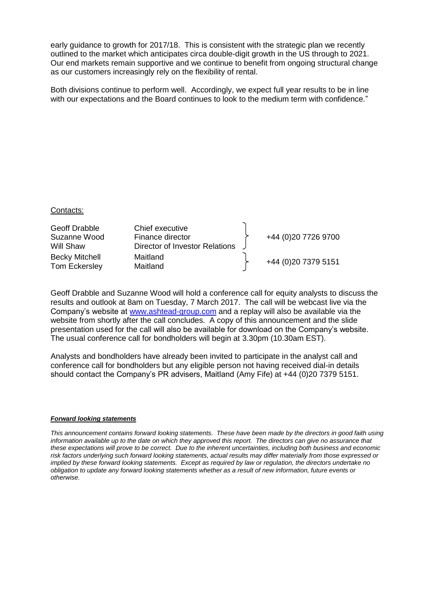early guidance to growth for 2017/18. This is consistent with the strategic plan we recently outlined to the market which anticipates circa double-digit growth in the US through to 2021. Our end markets remain supportive and we continue to benefit from ongoing structural change as our customers increasingly rely on the flexibility of rental.

Both divisions continue to perform well. Accordingly, we expect full year results to be in line with our expectations and the Board continues to look to the medium term with confidence."

#### Contacts:

| Geoff Drabble<br>Suzanne Wood<br>Will Shaw | Chief executive<br>Finance director<br>Director of Investor Relations | +44 (0)20 7726 9700 |
|--------------------------------------------|-----------------------------------------------------------------------|---------------------|
| <b>Becky Mitchell</b><br>Tom Eckersley     | Maitland<br>Maitland                                                  | +44 (0)20 7379 5151 |

Geoff Drabble and Suzanne Wood will hold a conference call for equity analysts to discuss the results and outlook at 8am on Tuesday, 7 March 2017. The call will be webcast live via the Company's website at [www.ashtead-group.com](http://www.ashtead-group.com/) and a replay will also be available via the website from shortly after the call concludes. A copy of this announcement and the slide presentation used for the call will also be available for download on the Company's website. The usual conference call for bondholders will begin at 3.30pm (10.30am EST).

Analysts and bondholders have already been invited to participate in the analyst call and conference call for bondholders but any eligible person not having received dial-in details should contact the Company's PR advisers, Maitland (Amy Fife) at +44 (0)20 7379 5151.

#### *Forward looking statements*

*This announcement contains forward looking statements. These have been made by the directors in good faith using information available up to the date on which they approved this report. The directors can give no assurance that these expectations will prove to be correct. Due to the inherent uncertainties, including both business and economic risk factors underlying such forward looking statements, actual results may differ materially from those expressed or implied by these forward looking statements. Except as required by law or regulation, the directors undertake no obligation to update any forward looking statements whether as a result of new information, future events or otherwise.*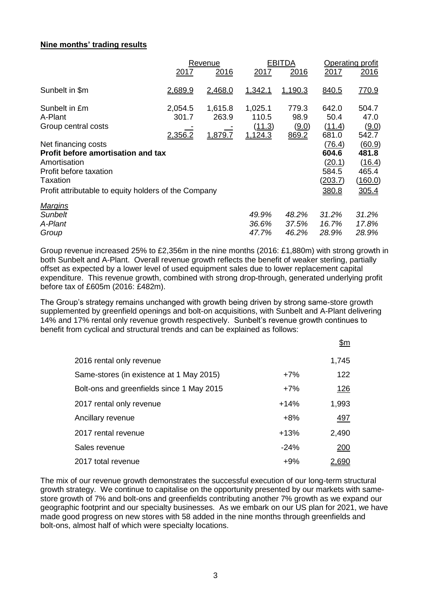# **Nine months' trading results**

|                                                      |         | Revenue |         | <b>EBITDA</b> | Operating profit |               |  |
|------------------------------------------------------|---------|---------|---------|---------------|------------------|---------------|--|
|                                                      | 2017    | 2016    | 2017    | 2016          | 2017             | 2016          |  |
| Sunbelt in \$m                                       | 2,689.9 | 2,468.0 | 1,342.1 | 1,190.3       | 840.5            | <u>770.9</u>  |  |
| Sunbelt in £m                                        | 2,054.5 | 1,615.8 | 1,025.1 | 779.3         | 642.0            | 504.7         |  |
| A-Plant                                              | 301.7   | 263.9   | 110.5   | 98.9          | 50.4             | 47.0          |  |
| Group central costs                                  |         |         | (11.3)  | (9.0)         | (11.4)           | (9.0)         |  |
|                                                      | 2,356.2 | 1,879.7 | 1,124.3 | 869.2         | 681.0            | 542.7         |  |
| Net financing costs                                  |         |         |         |               | (76.4)           | <u>(60.9)</u> |  |
| Profit before amortisation and tax                   |         |         |         |               | 604.6            | 481.8         |  |
| Amortisation                                         |         |         |         |               | (20.1)           | (16.4)        |  |
| Profit before taxation                               |         |         |         |               | 584.5            | 465.4         |  |
| Taxation                                             |         |         |         |               | (203.7)          | (160.0)       |  |
| Profit attributable to equity holders of the Company |         |         |         |               | 380.8            | 305.4         |  |
| <b>Margins</b>                                       |         |         |         |               |                  |               |  |
| <b>Sunbelt</b>                                       |         |         | 49.9%   | 48.2%         | 31.2%            | 31.2%         |  |
| A-Plant                                              |         |         | 36.6%   | 37.5%         | 16.7%            | 17.8%         |  |
| Group                                                |         |         | 47.7%   | 46.2%         | 28.9%            | 28.9%         |  |

Group revenue increased 25% to £2,356m in the nine months (2016: £1,880m) with strong growth in both Sunbelt and A-Plant. Overall revenue growth reflects the benefit of weaker sterling, partially offset as expected by a lower level of used equipment sales due to lower replacement capital expenditure. This revenue growth, combined with strong drop-through, generated underlying profit before tax of £605m (2016: £482m).

The Group's strategy remains unchanged with growth being driven by strong same-store growth supplemented by greenfield openings and bolt-on acquisitions, with Sunbelt and A-Plant delivering 14% and 17% rental only revenue growth respectively. Sunbelt's revenue growth continues to benefit from cyclical and structural trends and can be explained as follows:

|                                           |        | <u>\$m</u>   |
|-------------------------------------------|--------|--------------|
| 2016 rental only revenue                  |        | 1,745        |
| Same-stores (in existence at 1 May 2015)  | $+7%$  | 122          |
| Bolt-ons and greenfields since 1 May 2015 | $+7%$  | <u> 126</u>  |
| 2017 rental only revenue                  | $+14%$ | 1,993        |
| Ancillary revenue                         | $+8%$  | 497          |
| 2017 rental revenue                       | $+13%$ | 2,490        |
| Sales revenue                             | $-24%$ | <u> 200</u>  |
| 2017 total revenue                        | $+9%$  | <u>2,690</u> |

The mix of our revenue growth demonstrates the successful execution of our long-term structural growth strategy. We continue to capitalise on the opportunity presented by our markets with samestore growth of 7% and bolt-ons and greenfields contributing another 7% growth as we expand our geographic footprint and our specialty businesses. As we embark on our US plan for 2021, we have made good progress on new stores with 58 added in the nine months through greenfields and bolt-ons, almost half of which were specialty locations.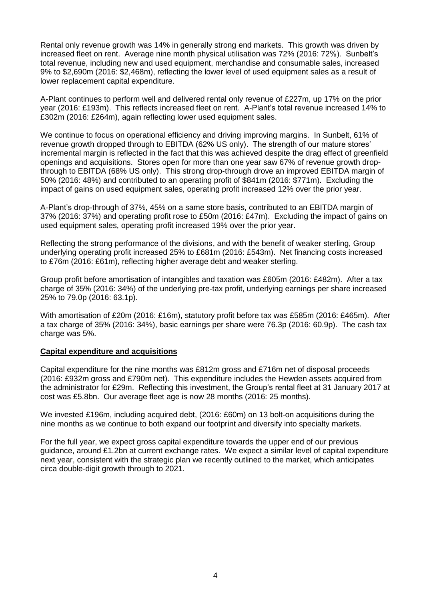Rental only revenue growth was 14% in generally strong end markets. This growth was driven by increased fleet on rent. Average nine month physical utilisation was 72% (2016: 72%). Sunbelt's total revenue, including new and used equipment, merchandise and consumable sales, increased 9% to \$2,690m (2016: \$2,468m), reflecting the lower level of used equipment sales as a result of lower replacement capital expenditure.

A-Plant continues to perform well and delivered rental only revenue of £227m, up 17% on the prior year (2016: £193m). This reflects increased fleet on rent. A-Plant's total revenue increased 14% to £302m (2016: £264m), again reflecting lower used equipment sales.

We continue to focus on operational efficiency and driving improving margins. In Sunbelt, 61% of revenue growth dropped through to EBITDA (62% US only). The strength of our mature stores' incremental margin is reflected in the fact that this was achieved despite the drag effect of greenfield openings and acquisitions. Stores open for more than one year saw 67% of revenue growth dropthrough to EBITDA (68% US only). This strong drop-through drove an improved EBITDA margin of 50% (2016: 48%) and contributed to an operating profit of \$841m (2016: \$771m). Excluding the impact of gains on used equipment sales, operating profit increased 12% over the prior year.

A-Plant's drop-through of 37%, 45% on a same store basis, contributed to an EBITDA margin of 37% (2016: 37%) and operating profit rose to £50m (2016: £47m). Excluding the impact of gains on used equipment sales, operating profit increased 19% over the prior year.

Reflecting the strong performance of the divisions, and with the benefit of weaker sterling, Group underlying operating profit increased 25% to £681m (2016: £543m). Net financing costs increased to £76m (2016: £61m), reflecting higher average debt and weaker sterling.

Group profit before amortisation of intangibles and taxation was £605m (2016: £482m). After a tax charge of 35% (2016: 34%) of the underlying pre-tax profit, underlying earnings per share increased 25% to 79.0p (2016: 63.1p).

With amortisation of £20m (2016: £16m), statutory profit before tax was £585m (2016: £465m). After a tax charge of 35% (2016: 34%), basic earnings per share were 76.3p (2016: 60.9p). The cash tax charge was 5%.

#### **Capital expenditure and acquisitions**

Capital expenditure for the nine months was £812m gross and £716m net of disposal proceeds (2016: £932m gross and £790m net). This expenditure includes the Hewden assets acquired from the administrator for £29m. Reflecting this investment, the Group's rental fleet at 31 January 2017 at cost was £5.8bn. Our average fleet age is now 28 months (2016: 25 months).

We invested £196m, including acquired debt, (2016: £60m) on 13 bolt-on acquisitions during the nine months as we continue to both expand our footprint and diversify into specialty markets.

For the full year, we expect gross capital expenditure towards the upper end of our previous guidance, around £1.2bn at current exchange rates. We expect a similar level of capital expenditure next year, consistent with the strategic plan we recently outlined to the market, which anticipates circa double-digit growth through to 2021.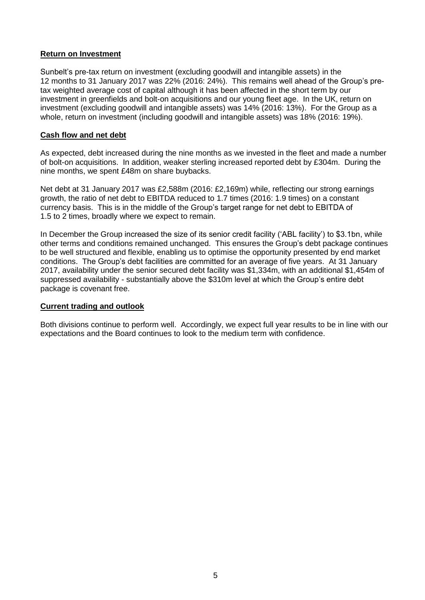## **Return on Investment**

Sunbelt's pre-tax return on investment (excluding goodwill and intangible assets) in the 12 months to 31 January 2017 was 22% (2016: 24%). This remains well ahead of the Group's pretax weighted average cost of capital although it has been affected in the short term by our investment in greenfields and bolt-on acquisitions and our young fleet age. In the UK, return on investment (excluding goodwill and intangible assets) was 14% (2016: 13%). For the Group as a whole, return on investment (including goodwill and intangible assets) was 18% (2016: 19%).

### **Cash flow and net debt**

As expected, debt increased during the nine months as we invested in the fleet and made a number of bolt-on acquisitions. In addition, weaker sterling increased reported debt by £304m. During the nine months, we spent £48m on share buybacks.

Net debt at 31 January 2017 was £2,588m (2016: £2,169m) while, reflecting our strong earnings growth, the ratio of net debt to EBITDA reduced to 1.7 times (2016: 1.9 times) on a constant currency basis. This is in the middle of the Group's target range for net debt to EBITDA of 1.5 to 2 times, broadly where we expect to remain.

In December the Group increased the size of its senior credit facility ('ABL facility') to \$3.1bn, while other terms and conditions remained unchanged. This ensures the Group's debt package continues to be well structured and flexible, enabling us to optimise the opportunity presented by end market conditions. The Group's debt facilities are committed for an average of five years. At 31 January 2017, availability under the senior secured debt facility was \$1,334m, with an additional \$1,454m of suppressed availability - substantially above the \$310m level at which the Group's entire debt package is covenant free.

#### **Current trading and outlook**

Both divisions continue to perform well. Accordingly, we expect full year results to be in line with our expectations and the Board continues to look to the medium term with confidence.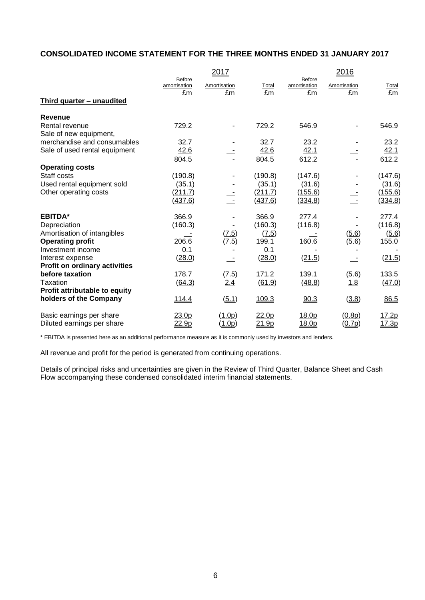# **CONSOLIDATED INCOME STATEMENT FOR THE THREE MONTHS ENDED 31 JANUARY 2017**

|                                      |                               | 2017         |                   |                               | 2016         |              |
|--------------------------------------|-------------------------------|--------------|-------------------|-------------------------------|--------------|--------------|
|                                      | <b>Before</b><br>amortisation | Amortisation | <b>Total</b>      | <b>Before</b><br>amortisation | Amortisation | <b>Total</b> |
|                                      | £m                            | £m           | £m                | £m                            | £m           | £m           |
| Third quarter - unaudited            |                               |              |                   |                               |              |              |
| <b>Revenue</b>                       |                               |              |                   |                               |              |              |
| Rental revenue                       | 729.2                         |              | 729.2             | 546.9                         |              | 546.9        |
| Sale of new equipment,               |                               |              |                   |                               |              |              |
| merchandise and consumables          | 32.7                          |              | 32.7              | 23.2                          |              | 23.2         |
| Sale of used rental equipment        | 42.6                          |              | 42.6              | 42.1                          |              | 42.1         |
|                                      | 804.5                         |              | 804.5             | 612.2                         |              | 612.2        |
| <b>Operating costs</b>               |                               |              |                   |                               |              |              |
| Staff costs                          | (190.8)                       |              | (190.8)           | (147.6)                       |              | (147.6)      |
| Used rental equipment sold           | (35.1)                        |              | (35.1)            | (31.6)                        |              | (31.6)       |
| Other operating costs                | (211.7)                       |              | (211.7)           | (155.6)                       |              | (155.6)      |
|                                      | (437.6)                       |              | (437.6)           | (334.8)                       |              | (334.8)      |
| <b>EBITDA*</b>                       | 366.9                         |              | 366.9             | 277.4                         |              | 277.4        |
| Depreciation                         | (160.3)                       |              | (160.3)           | (116.8)                       |              | (116.8)      |
| Amortisation of intangibles          |                               | (7.5)        | (7.5)             |                               | (5.6)        | (5.6)        |
| <b>Operating profit</b>              | 206.6                         | (7.5)        | 199.1             | 160.6                         | (5.6)        | 155.0        |
| Investment income                    | 0.1                           |              | 0.1               |                               |              |              |
| Interest expense                     | (28.0)                        |              | (28.0)            | (21.5)                        |              | (21.5)       |
| <b>Profit on ordinary activities</b> |                               |              |                   |                               |              |              |
| before taxation                      | 178.7                         | (7.5)        | 171.2             | 139.1                         | (5.6)        | 133.5        |
| Taxation                             | (64.3)                        | 2.4          | (61.9)            | (48.8)                        | 1.8          | (47.0)       |
| Profit attributable to equity        |                               |              |                   |                               |              |              |
| holders of the Company               | <u>114.4</u>                  | (5.1)        | 109.3             | 90.3                          | (3.8)        | 86.5         |
| Basic earnings per share             | <u>23.0p</u>                  | (1.0p)       | 22.0 <sub>p</sub> | 18.0p                         | (0.8p)       | 17.2p        |
| Diluted earnings per share           | 22.9p                         | (1.0p)       | 21.9p             | 18.0p                         | (0.7p)       | 17.3p        |

\* EBITDA is presented here as an additional performance measure as it is commonly used by investors and lenders.

All revenue and profit for the period is generated from continuing operations.

Details of principal risks and uncertainties are given in the Review of Third Quarter, Balance Sheet and Cash Flow accompanying these condensed consolidated interim financial statements.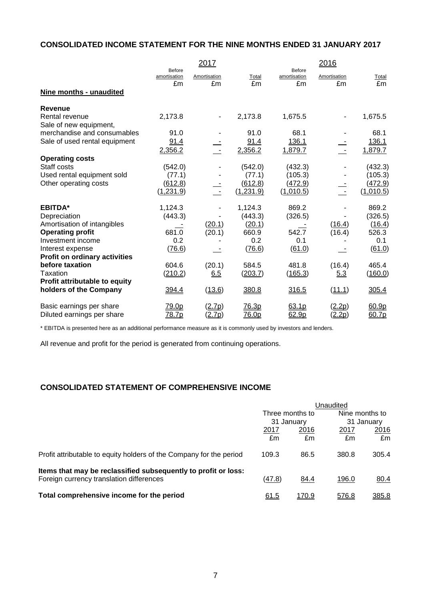# **CONSOLIDATED INCOME STATEMENT FOR THE NINE MONTHS ENDED 31 JANUARY 2017**

|                                      |                              | 2017               |              |                              | 2016               |             |
|--------------------------------------|------------------------------|--------------------|--------------|------------------------------|--------------------|-------------|
|                                      | Before<br>amortisation<br>£m | Amortisation<br>£m | Total<br>£m  | Before<br>amortisation<br>£m | Amortisation<br>£m | Total<br>£m |
| Nine months - unaudited              |                              |                    |              |                              |                    |             |
| <b>Revenue</b>                       |                              |                    |              |                              |                    |             |
| Rental revenue                       | 2,173.8                      |                    | 2,173.8      | 1,675.5                      | ۰                  | 1,675.5     |
| Sale of new equipment,               |                              |                    |              |                              |                    |             |
| merchandise and consumables          | 91.0                         |                    | 91.0         | 68.1                         |                    | 68.1        |
| Sale of used rental equipment        | 91.4                         |                    | 91.4         | 136.1                        |                    | 136.1       |
|                                      | 2,356.2                      |                    | 2,356.2      | 1,879.7                      |                    | 1,879.7     |
| <b>Operating costs</b>               |                              |                    |              |                              |                    |             |
| Staff costs                          | (542.0)                      |                    | (542.0)      | (432.3)                      |                    | (432.3)     |
| Used rental equipment sold           | (77.1)                       |                    | (77.1)       | (105.3)                      |                    | (105.3)     |
| Other operating costs                | (612.8)                      |                    | (612.8)      | (472.9)                      |                    | (472.9)     |
|                                      | (1, 231.9)                   |                    | (1,231.9)    | (1,010.5)                    |                    | (1,010.5)   |
| <b>EBITDA*</b>                       | 1,124.3                      |                    | 1,124.3      | 869.2                        |                    | 869.2       |
| Depreciation                         | (443.3)                      |                    | (443.3)      | (326.5)                      |                    | (326.5)     |
| Amortisation of intangibles          |                              | (20.1)             | (20.1)       |                              | (16.4)             | (16.4)      |
| <b>Operating profit</b>              | 681.0                        | (20.1)             | 660.9        | 542.7                        | (16.4)             | 526.3       |
| Investment income                    | 0.2                          |                    | 0.2          | 0.1                          |                    | 0.1         |
| Interest expense                     | (76.6)                       |                    | (76.6)       | (61.0)                       |                    | (61.0)      |
| <b>Profit on ordinary activities</b> |                              |                    |              |                              |                    |             |
| before taxation                      | 604.6                        | (20.1)             | 584.5        | 481.8                        | (16.4)             | 465.4       |
| Taxation                             | (210.2)                      | 6.5                | (203.7)      | (165.3)                      | 5.3                | (160.0)     |
| Profit attributable to equity        |                              |                    |              |                              |                    |             |
| holders of the Company               | 394.4                        | (13.6)             | 380.8        | 316.5                        | (11.1)             | 305.4       |
| Basic earnings per share             | 79.0p                        | (2.7p)             | 76.3p        | 63.1p                        | (2.2p)             | 60.9p       |
| Diluted earnings per share           | <u>78.7p</u>                 | (2.7p)             | <u>76.0p</u> | 62.9p                        | <u>(2.2p)</u>      | 60.7p       |

\* EBITDA is presented here as an additional performance measure as it is commonly used by investors and lenders.

All revenue and profit for the period is generated from continuing operations.

# **CONSOLIDATED STATEMENT OF COMPREHENSIVE INCOME**

|                                                                     | Unaudited |                 |                              |       |
|---------------------------------------------------------------------|-----------|-----------------|------------------------------|-------|
|                                                                     |           | Three months to | Nine months to<br>31 January |       |
|                                                                     |           | 31 January      |                              |       |
|                                                                     | 2017      | 2016            | 2017                         | 2016  |
|                                                                     | £m        | £m              | £m                           | £m    |
| Profit attributable to equity holders of the Company for the period | 109.3     | 86.5            | 380.8                        | 305.4 |
| Items that may be reclassified subsequently to profit or loss:      |           |                 |                              |       |
| Foreign currency translation differences                            | (47.8)    | 84.4            | 196.0                        | 80.4  |
| Total comprehensive income for the period                           | 61.5      | 170.9           | 576.8                        | 385.8 |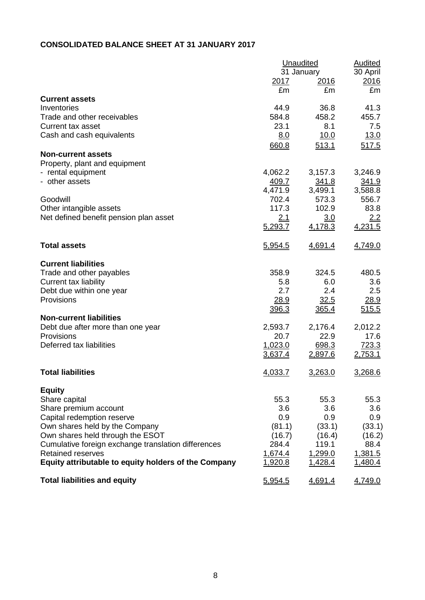# **CONSOLIDATED BALANCE SHEET AT 31 JANUARY 2017**

|                                                      | <b>Unaudited</b> | <b>Audited</b> |          |
|------------------------------------------------------|------------------|----------------|----------|
|                                                      |                  | 31 January     | 30 April |
|                                                      | 2017             | <u> 2016</u>   | 2016     |
|                                                      | £m               | £m             | £m       |
| <b>Current assets</b>                                |                  |                |          |
| Inventories                                          | 44.9             | 36.8           | 41.3     |
| Trade and other receivables                          | 584.8            | 458.2          | 455.7    |
| <b>Current tax asset</b>                             | 23.1             | 8.1            | 7.5      |
| Cash and cash equivalents                            | 8.0              | 10.0           | 13.0     |
|                                                      | 660.8            | 513.1          | 517.5    |
| <b>Non-current assets</b>                            |                  |                |          |
| Property, plant and equipment                        |                  |                |          |
| - rental equipment                                   | 4,062.2          | 3,157.3        | 3,246.9  |
| - other assets                                       | 409.7            | 341.8          | 341.9    |
|                                                      | 4,471.9          | 3,499.1        | 3,588.8  |
| Goodwill                                             | 702.4            | 573.3          | 556.7    |
| Other intangible assets                              | 117.3            | 102.9          | 83.8     |
| Net defined benefit pension plan asset               | 2.1              | 3.0            | 2.2      |
|                                                      | 5,293.7          | 4,178.3        | 4,231.5  |
|                                                      |                  |                |          |
| <b>Total assets</b>                                  | 5,954.5          | 4,691.4        | 4,749.0  |
|                                                      |                  |                |          |
| <b>Current liabilities</b>                           |                  |                |          |
| Trade and other payables                             | 358.9            | 324.5          | 480.5    |
| Current tax liability                                | 5.8              | 6.0            | 3.6      |
| Debt due within one year                             | 2.7              | 2.4            | 2.5      |
| Provisions                                           | 28.9             | 32.5           | 28.9     |
|                                                      | 396.3            | 365.4          | 515.5    |
| <b>Non-current liabilities</b>                       |                  |                |          |
| Debt due after more than one year                    | 2,593.7          | 2,176.4        | 2,012.2  |
| Provisions                                           | 20.7             | 22.9           | 17.6     |
| Deferred tax liabilities                             | 1,023.0          | 698.3          | 723.3    |
|                                                      | 3,637.4          | 2,897.6        | 2,753.1  |
|                                                      |                  |                |          |
| <b>Total liabilities</b>                             | 4,033.7          | 3,263.0        | 3,268.6  |
|                                                      |                  |                |          |
| <b>Equity</b>                                        |                  |                |          |
| Share capital                                        | 55.3             | 55.3           | 55.3     |
| Share premium account                                | 3.6              | 3.6            | 3.6      |
| Capital redemption reserve                           | 0.9              | 0.9            | 0.9      |
| Own shares held by the Company                       | (81.1)           | (33.1)         | (33.1)   |
| Own shares held through the ESOT                     | (16.7)           | (16.4)         | (16.2)   |
| Cumulative foreign exchange translation differences  | 284.4            | 119.1          | 88.4     |
| <b>Retained reserves</b>                             | 1,674.4          | 1,299.0        | 1,381.5  |
| Equity attributable to equity holders of the Company | 1,920.8          | <u>1,428.4</u> | 1,480.4  |
|                                                      |                  |                |          |
| <b>Total liabilities and equity</b>                  | 5,954.5          | 4,691.4        | 4,749.0  |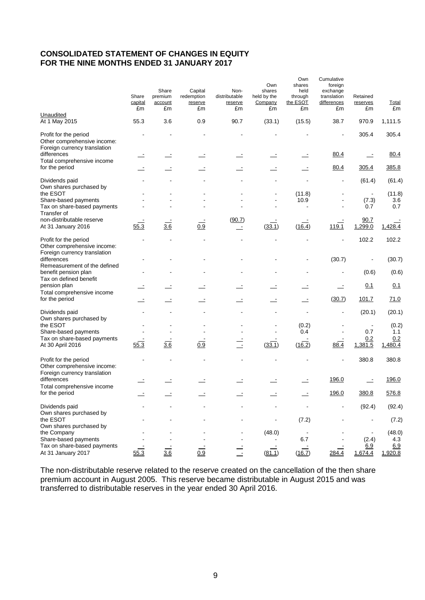# **CONSOLIDATED STATEMENT OF CHANGES IN EQUITY FOR THE NINE MONTHS ENDED 31 JANUARY 2017**

|                                                                                      | Share<br>capital<br>£m | Share<br>premium<br>account<br>£m | Capital<br>redemption<br>reserve<br>£m | Non-<br>distributable<br>reserve<br>£m | Own<br>shares<br>held by the<br>Company<br>£m | Own<br>shares<br>held<br>through<br>the ESOT<br>£m | Cumulative<br>foreign<br>exchange<br>translation<br>differences<br>£m | Retained<br>reserves<br>£m | <b>Total</b><br>£m |
|--------------------------------------------------------------------------------------|------------------------|-----------------------------------|----------------------------------------|----------------------------------------|-----------------------------------------------|----------------------------------------------------|-----------------------------------------------------------------------|----------------------------|--------------------|
| Unaudited<br>At 1 May 2015                                                           | 55.3                   | 3.6                               | 0.9                                    | 90.7                                   | (33.1)                                        | (15.5)                                             | 38.7                                                                  | 970.9                      | 1,111.5            |
| Profit for the period<br>Other comprehensive income:<br>Foreign currency translation |                        |                                   |                                        |                                        |                                               |                                                    |                                                                       | 305.4                      | 305.4              |
| differences<br>Total comprehensive income                                            |                        |                                   |                                        |                                        |                                               |                                                    | 80.4                                                                  | $\overline{\phantom{a}}$   | 80.4               |
| for the period                                                                       |                        |                                   |                                        |                                        |                                               |                                                    | 80.4                                                                  | 305.4                      | 385.8              |
| Dividends paid<br>Own shares purchased by                                            |                        |                                   |                                        |                                        |                                               |                                                    |                                                                       | (61.4)                     | (61.4)             |
| the ESOT                                                                             |                        |                                   |                                        |                                        |                                               | (11.8)                                             |                                                                       |                            | (11.8)             |
| Share-based payments                                                                 |                        |                                   |                                        |                                        |                                               | 10.9                                               |                                                                       | (7.3)                      | 3.6                |
| Tax on share-based payments<br>Transfer of                                           |                        |                                   |                                        |                                        |                                               |                                                    |                                                                       | 0.7                        | 0.7                |
| non-distributable reserve                                                            |                        | $\frac{1}{3.6}$                   |                                        | (90.7)                                 |                                               |                                                    |                                                                       | 90.7                       |                    |
| At 31 January 2016                                                                   | 55.3                   |                                   | 0.9                                    | $\equiv$                               | (33.1)                                        | (16.4)                                             | 119.1                                                                 | 1,299.0                    | 1,428.4            |
| Profit for the period<br>Other comprehensive income:<br>Foreign currency translation |                        |                                   |                                        |                                        |                                               |                                                    |                                                                       | 102.2                      | 102.2              |
| differences<br>Remeasurement of the defined                                          |                        |                                   |                                        |                                        |                                               |                                                    | (30.7)                                                                |                            | (30.7)             |
| benefit pension plan<br>Tax on defined benefit                                       |                        |                                   |                                        |                                        |                                               |                                                    |                                                                       | (0.6)                      | (0.6)              |
| pension plan                                                                         |                        |                                   |                                        |                                        |                                               |                                                    | ÷,                                                                    | 0.1                        | 0.1                |
| Total comprehensive income<br>for the period                                         |                        |                                   |                                        |                                        |                                               |                                                    | (30.7)                                                                | 101.7                      | 71.0               |
| Dividends paid                                                                       |                        |                                   |                                        |                                        |                                               |                                                    |                                                                       | (20.1)                     | (20.1)             |
| Own shares purchased by<br>the ESOT                                                  |                        |                                   |                                        |                                        |                                               | (0.2)                                              |                                                                       | $\blacksquare$             | (0.2)              |
| Share-based payments                                                                 |                        |                                   |                                        |                                        |                                               | 0.4                                                |                                                                       | 0.7                        | 1.1                |
| Tax on share-based payments<br>At 30 April 2016                                      | 55.3                   | $\overline{3.6}$                  | 0.9                                    | $\overline{\phantom{a}}$               | (33.1)                                        | (16.2)                                             | 88.4                                                                  | 0.2<br>1,381.5             | 0.2<br>1,480.4     |
| Profit for the period<br>Other comprehensive income:<br>Foreign currency translation |                        |                                   |                                        |                                        |                                               |                                                    |                                                                       | 380.8                      | 380.8              |
| differences<br>Total comprehensive income                                            |                        |                                   |                                        |                                        |                                               |                                                    | 196.0                                                                 |                            | 196.0              |
| for the period                                                                       |                        |                                   |                                        |                                        |                                               |                                                    | 196.0                                                                 | 380.8                      | 576.8              |
| Dividends paid                                                                       |                        |                                   |                                        |                                        |                                               |                                                    |                                                                       | (92.4)                     | (92.4)             |
| Own shares purchased by<br>the ESOT                                                  |                        |                                   |                                        |                                        |                                               | (7.2)                                              |                                                                       |                            | (7.2)              |
| Own shares purchased by<br>the Company                                               |                        |                                   |                                        |                                        |                                               |                                                    |                                                                       |                            |                    |
| Share-based payments                                                                 |                        |                                   |                                        |                                        | (48.0)                                        | 6.7                                                |                                                                       | (2.4)                      | (48.0)<br>4.3      |
| Tax on share-based payments                                                          |                        |                                   |                                        |                                        |                                               |                                                    |                                                                       | 6.9                        | 6.9                |
| At 31 January 2017                                                                   | 55.3                   | 3.6                               | 0.9                                    |                                        | (81.1)                                        | (16.7)                                             | 284.4                                                                 | 1,674.4                    | 1,920.8            |

The non-distributable reserve related to the reserve created on the cancellation of the then share premium account in August 2005. This reserve became distributable in August 2015 and was transferred to distributable reserves in the year ended 30 April 2016.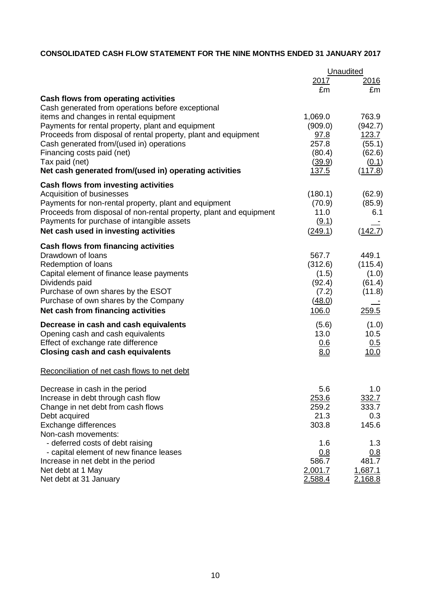# **CONSOLIDATED CASH FLOW STATEMENT FOR THE NINE MONTHS ENDED 31 JANUARY 2017**

|                                                                    | Unaudited    |                |  |
|--------------------------------------------------------------------|--------------|----------------|--|
|                                                                    | <u>2017</u>  | <u> 2016 </u>  |  |
|                                                                    | £m           | £m             |  |
| Cash flows from operating activities                               |              |                |  |
| Cash generated from operations before exceptional                  |              |                |  |
| items and changes in rental equipment                              | 1,069.0      | 763.9          |  |
| Payments for rental property, plant and equipment                  | (909.0)      | (942.7)        |  |
| Proceeds from disposal of rental property, plant and equipment     | 97.8         | 123.7          |  |
| Cash generated from/(used in) operations                           | 257.8        | (55.1)         |  |
| Financing costs paid (net)                                         | (80.4)       | (62.6)         |  |
| Tax paid (net)                                                     | (39.9)       | (0.1)          |  |
| Net cash generated from/(used in) operating activities             | <u>137.5</u> | (117.8)        |  |
| Cash flows from investing activities                               |              |                |  |
| Acquisition of businesses                                          | (180.1)      | (62.9)         |  |
| Payments for non-rental property, plant and equipment              | (70.9)       | (85.9)         |  |
| Proceeds from disposal of non-rental property, plant and equipment | 11.0         | 6.1            |  |
| Payments for purchase of intangible assets                         | (9.1)        |                |  |
| Net cash used in investing activities                              | (249.1)      | (142.7)        |  |
| <b>Cash flows from financing activities</b>                        |              |                |  |
| Drawdown of loans                                                  | 567.7        | 449.1          |  |
| Redemption of loans                                                | (312.6)      | (115.4)        |  |
| Capital element of finance lease payments                          | (1.5)        | (1.0)          |  |
| Dividends paid                                                     | (92.4)       | (61.4)         |  |
| Purchase of own shares by the ESOT                                 | (7.2)        | (11.8)         |  |
| Purchase of own shares by the Company                              | (48.0)       |                |  |
| Net cash from financing activities                                 | 106.0        | 259.5          |  |
| Decrease in cash and cash equivalents                              | (5.6)        | (1.0)          |  |
| Opening cash and cash equivalents                                  | 13.0         | 10.5           |  |
| Effect of exchange rate difference                                 | <u>0.6</u>   | <u>0.5</u>     |  |
| <b>Closing cash and cash equivalents</b>                           | 8.0          | 10.0           |  |
| Reconciliation of net cash flows to net debt                       |              |                |  |
| Decrease in cash in the period                                     | 5.6          | 1.0            |  |
| Increase in debt through cash flow                                 | 253.6        | 332.7          |  |
| Change in net debt from cash flows                                 | 259.2        | 333.7          |  |
| Debt acquired                                                      | 21.3         | 0.3            |  |
| Exchange differences                                               | 303.8        | 145.6          |  |
| Non-cash movements:                                                |              |                |  |
| - deferred costs of debt raising                                   | 1.6          | 1.3            |  |
| - capital element of new finance leases                            | 0.8          | 0.8            |  |
| Increase in net debt in the period                                 | 586.7        | 481.7          |  |
| Net debt at 1 May                                                  | 2,001.7      | 1,687.1        |  |
| Net debt at 31 January                                             | 2,588.4      | <u>2,168.8</u> |  |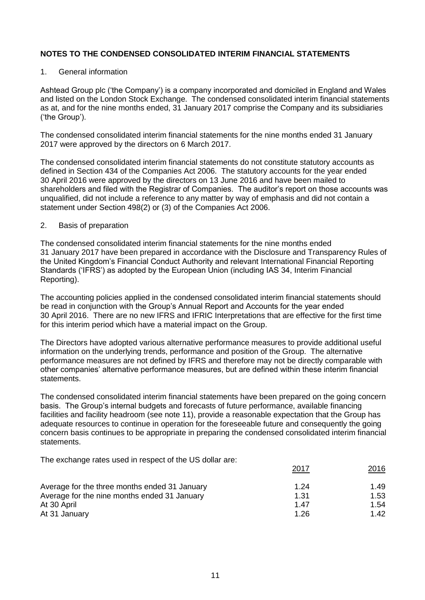## 1. General information

Ashtead Group plc ('the Company') is a company incorporated and domiciled in England and Wales and listed on the London Stock Exchange. The condensed consolidated interim financial statements as at, and for the nine months ended, 31 January 2017 comprise the Company and its subsidiaries ('the Group').

The condensed consolidated interim financial statements for the nine months ended 31 January 2017 were approved by the directors on 6 March 2017.

The condensed consolidated interim financial statements do not constitute statutory accounts as defined in Section 434 of the Companies Act 2006. The statutory accounts for the year ended 30 April 2016 were approved by the directors on 13 June 2016 and have been mailed to shareholders and filed with the Registrar of Companies. The auditor's report on those accounts was unqualified, did not include a reference to any matter by way of emphasis and did not contain a statement under Section 498(2) or (3) of the Companies Act 2006.

## 2. Basis of preparation

The condensed consolidated interim financial statements for the nine months ended 31 January 2017 have been prepared in accordance with the Disclosure and Transparency Rules of the United Kingdom's Financial Conduct Authority and relevant International Financial Reporting Standards ('IFRS') as adopted by the European Union (including IAS 34, Interim Financial Reporting).

The accounting policies applied in the condensed consolidated interim financial statements should be read in conjunction with the Group's Annual Report and Accounts for the year ended 30 April 2016. There are no new IFRS and IFRIC Interpretations that are effective for the first time for this interim period which have a material impact on the Group.

The Directors have adopted various alternative performance measures to provide additional useful information on the underlying trends, performance and position of the Group. The alternative performance measures are not defined by IFRS and therefore may not be directly comparable with other companies' alternative performance measures, but are defined within these interim financial statements.

The condensed consolidated interim financial statements have been prepared on the going concern basis. The Group's internal budgets and forecasts of future performance, available financing facilities and facility headroom (see note 11), provide a reasonable expectation that the Group has adequate resources to continue in operation for the foreseeable future and consequently the going concern basis continues to be appropriate in preparing the condensed consolidated interim financial statements.

The exchange rates used in respect of the US dollar are:

|                                               | 2017 | 2016 |
|-----------------------------------------------|------|------|
| Average for the three months ended 31 January | 1.24 | 1.49 |
| Average for the nine months ended 31 January  | 1.31 | 1.53 |
| At 30 April                                   | 1.47 | 1.54 |
| At 31 January                                 | 1.26 | 1.42 |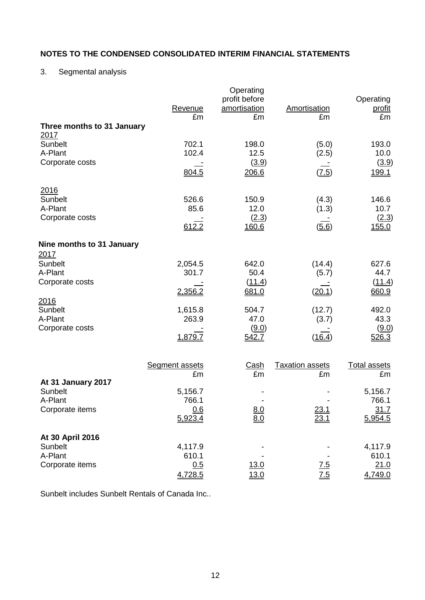# 3. Segmental analysis

| Three months to 31 January        | Revenue<br>£m         | Operating<br>profit before<br>amortisation<br>£m | Amortisation<br>£m     | Operating<br><u>profit</u><br>£m |
|-----------------------------------|-----------------------|--------------------------------------------------|------------------------|----------------------------------|
| 2017                              |                       |                                                  |                        |                                  |
| Sunbelt<br>A-Plant                | 702.1<br>102.4        | 198.0<br>12.5                                    | (5.0)<br>(2.5)         | 193.0<br>10.0                    |
| Corporate costs                   |                       | (3.9)                                            |                        | (3.9)                            |
|                                   | 804.5                 | 206.6                                            | (7.5)                  | 199.1                            |
| 2016                              |                       |                                                  |                        |                                  |
| Sunbelt<br>A-Plant                | 526.6<br>85.6         | 150.9<br>12.0                                    | (4.3)<br>(1.3)         | 146.6<br>10.7                    |
| Corporate costs                   | 612.2                 | (2.3)<br>160.6                                   | (5.6)                  | (2.3)<br>155.0                   |
|                                   |                       |                                                  |                        |                                  |
| Nine months to 31 January<br>2017 |                       |                                                  |                        |                                  |
| <b>Sunbelt</b>                    | 2,054.5               | 642.0                                            | (14.4)                 | 627.6                            |
| A-Plant<br>Corporate costs        | 301.7                 | 50.4<br>(11.4)                                   | (5.7)                  | 44.7<br>(11.4)                   |
|                                   | 2,356.2               | 681.0                                            | (20.1)                 | 660.9                            |
| 2016<br>Sunbelt                   | 1,615.8               | 504.7                                            | (12.7)                 | 492.0                            |
| A-Plant                           | 263.9                 | 47.0                                             | (3.7)                  | 43.3                             |
| Corporate costs                   | 1,879.7               | (9.0)<br>542.7                                   | (16.4)                 | (9.0)<br>526.3                   |
|                                   |                       |                                                  |                        |                                  |
|                                   | <b>Segment assets</b> | <u>Cash</u>                                      | <b>Taxation assets</b> | <b>Total assets</b>              |
|                                   | £m                    | £m                                               | £m                     | £m                               |
| At 31 January 2017<br>Sunbelt     | 5,156.7               |                                                  |                        | 5,156.7                          |
| A-Plant                           | 766.1                 |                                                  |                        | 766.1                            |
| Corporate items                   | 0.6<br>5,923.4        | $\frac{8.0}{8.0}$                                | 23.1<br>23.1           | 31.7<br>5,954.5                  |
| At 30 April 2016                  |                       |                                                  |                        |                                  |
| Sunbelt                           | 4,117.9               |                                                  |                        | 4,117.9                          |
| A-Plant                           | 610.1                 |                                                  |                        | 610.1                            |
| Corporate items                   | 0.5<br>4,728.5        | <u>13.0</u><br>13.0                              | 7.5<br>7.5             | 21.0<br>4,749.0                  |

Sunbelt includes Sunbelt Rentals of Canada Inc..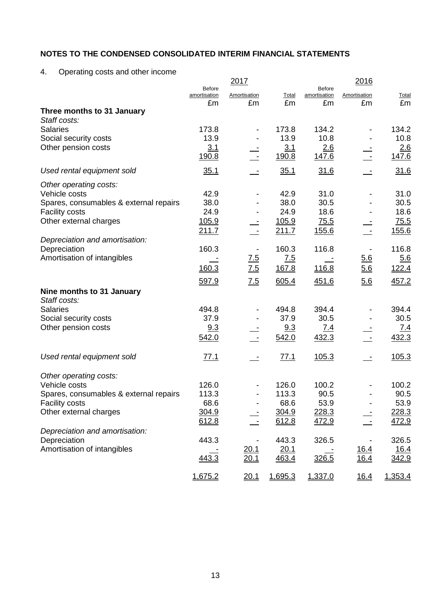4. Operating costs and other income

|                                             |                               | 2017              |               |                               | 2016                       |                      |
|---------------------------------------------|-------------------------------|-------------------|---------------|-------------------------------|----------------------------|----------------------|
|                                             | <b>Before</b><br>amortisation | Amortisation      | Total         | <b>Before</b><br>amortisation | Amortisation               | Total                |
|                                             | £m                            | £m                | £m            | £m                            | £m                         | £m                   |
| Three months to 31 January                  |                               |                   |               |                               |                            |                      |
| Staff costs:<br><b>Salaries</b>             | 173.8                         |                   | 173.8         | 134.2                         |                            | 134.2                |
| Social security costs                       | 13.9                          |                   | 13.9          | 10.8                          |                            | 10.8                 |
| Other pension costs                         | 3.1                           |                   | 3.1           | 2.6                           |                            | 2.6                  |
|                                             | 190.8                         | $\sim$            | 190.8         | 147.6                         | $\sim$ $-$                 | 147.6                |
| Used rental equipment sold                  | 35.1                          |                   | 35.1          | 31.6                          |                            | 31.6                 |
| Other operating costs:                      |                               |                   |               |                               |                            |                      |
| Vehicle costs                               | 42.9                          |                   | 42.9          | 31.0                          |                            | 31.0                 |
| Spares, consumables & external repairs      | 38.0                          |                   | 38.0          | 30.5                          |                            | 30.5                 |
| <b>Facility costs</b>                       | 24.9                          |                   | 24.9          | 18.6                          |                            | 18.6                 |
| Other external charges                      | <u>105.9</u>                  |                   | 105.9         | 75.5                          |                            | 75.5                 |
|                                             | 211.7                         |                   | 211.7         | 155.6                         | $\mathbb{Z}^2$             | 155.6                |
| Depreciation and amortisation:              |                               |                   |               |                               |                            |                      |
| Depreciation<br>Amortisation of intangibles | 160.3                         |                   | 160.3         | 116.8                         |                            | 116.8                |
|                                             | 160.3                         | <u>7.5</u>        | 7.5           |                               | 5.6                        | 5.6                  |
|                                             |                               | 7.5               | 167.8         | 116.8                         | 5.6                        | 122.4                |
|                                             | 597.9                         | $\underline{7.5}$ | 605.4         | 451.6                         | 5.6                        | 457.2                |
| Nine months to 31 January                   |                               |                   |               |                               |                            |                      |
| Staff costs:                                |                               |                   |               |                               |                            |                      |
| <b>Salaries</b>                             | 494.8                         |                   | 494.8         | 394.4                         |                            | 394.4                |
| Social security costs                       | 37.9                          |                   | 37.9          | 30.5                          |                            | 30.5                 |
| Other pension costs                         | 9.3<br>542.0                  |                   | 9.3<br>542.0  | <u>7.4</u><br>432.3           |                            | <u>7.4</u><br>432.3  |
|                                             |                               |                   |               |                               |                            |                      |
| Used rental equipment sold                  | 77.1                          |                   | 77.1          | 105.3                         | $\equiv$                   | 105.3                |
| Other operating costs:                      |                               |                   |               |                               |                            |                      |
| Vehicle costs                               | 126.0                         |                   | 126.0         | 100.2                         |                            | 100.2                |
| Spares, consumables & external repairs      | 113.3                         |                   | 113.3         | 90.5                          |                            | 90.5                 |
| <b>Facility costs</b>                       | 68.6                          |                   | 68.6          | 53.9                          |                            | 53.9                 |
| Other external charges                      | 304.9                         |                   | 304.9         | 228.3                         |                            | 228.3                |
|                                             | 612.8                         |                   | 612.8         | 472.9                         |                            | 472.9                |
| Depreciation and amortisation:              |                               |                   |               |                               |                            |                      |
| Depreciation                                | 443.3                         |                   | 443.3         | 326.5                         |                            | 326.5                |
| Amortisation of intangibles                 | 443.3                         | 20.1<br>20.1      | 20.1<br>463.4 | 326.5                         | <u>16.4</u><br><u>16.4</u> | <u>16.4</u><br>342.9 |
|                                             |                               |                   |               |                               |                            |                      |
|                                             | 1,675.2                       | 20.1              | 1,695.3       | 1,337.0                       | 16.4                       | 1,353.4              |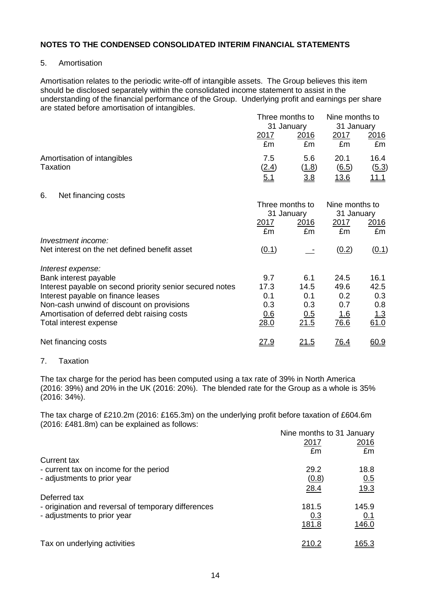## 5. Amortisation

Amortisation relates to the periodic write-off of intangible assets. The Group believes this item should be disclosed separately within the consolidated income statement to assist in the understanding of the financial performance of the Group. Underlying profit and earnings per share are stated before amortisation of intangibles.

|                             |            | Three months to<br>31 January |              | Nine months to<br>31 January |  |
|-----------------------------|------------|-------------------------------|--------------|------------------------------|--|
|                             |            |                               |              |                              |  |
|                             | 2017       | 2016                          | 2017         | 2016                         |  |
|                             | £m         | £m                            | £m           | £m                           |  |
| Amortisation of intangibles | 7.5        | 5.6                           | 20.1         | 16.4                         |  |
| Taxation                    | (2.4)      | <u>(1.8)</u>                  | (6.5)        | (5.3)                        |  |
|                             | <u>5.1</u> | <u>3.8</u>                    | <u> 13.6</u> | <u> 11.1 </u>                |  |

#### 6. Net financing costs

|                                                          | Three months to<br>31 January |             | Nine months to<br>31 January |            |
|----------------------------------------------------------|-------------------------------|-------------|------------------------------|------------|
|                                                          | <u>2017</u><br>£m             | 2016<br>£m  | 2017<br>£m                   | 2016<br>£m |
| Investment income:                                       |                               |             |                              |            |
| Net interest on the net defined benefit asset            | (0.1)                         |             | (0.2)                        | (0.1)      |
| Interest expense:                                        |                               |             |                              |            |
| Bank interest payable                                    | 9.7                           | 6.1         | 24.5                         | 16.1       |
| Interest payable on second priority senior secured notes | 17.3                          | 14.5        | 49.6                         | 42.5       |
| Interest payable on finance leases                       | 0.1                           | 0.1         | 0.2                          | 0.3        |
| Non-cash unwind of discount on provisions                | 0.3                           | 0.3         | 0.7                          | 0.8        |
| Amortisation of deferred debt raising costs              | 0.6                           | 0.5         | <u>1.6</u>                   | 1.3        |
| Total interest expense                                   | 28.0                          | 21.5        | 76.6                         | 61.0       |
| Net financing costs                                      | <u>27.9</u>                   | <u>21.5</u> | <u>76.4</u>                  | 60.9       |

## 7. Taxation

The tax charge for the period has been computed using a tax rate of 39% in North America (2016: 39%) and 20% in the UK (2016: 20%). The blended rate for the Group as a whole is 35% (2016: 34%).

The tax charge of £210.2m (2016: £165.3m) on the underlying profit before taxation of £604.6m (2016: £481.8m) can be explained as follows:

|                                                     | Nine months to 31 January |              |
|-----------------------------------------------------|---------------------------|--------------|
|                                                     | 2017                      | 2016         |
|                                                     | £m                        | £m           |
| <b>Current tax</b>                                  |                           |              |
| - current tax on income for the period              | 29.2                      | 18.8         |
| - adjustments to prior year                         | (0.8)                     | 0.5          |
|                                                     | 28.4                      | 19.3         |
| Deferred tax                                        |                           |              |
| - origination and reversal of temporary differences | 181.5                     | 145.9        |
| - adjustments to prior year                         | <u>0.3</u>                | 0.1          |
|                                                     | <u>181.8</u>              | 146.0        |
| Tax on underlying activities                        | 210.2                     | <u>165.3</u> |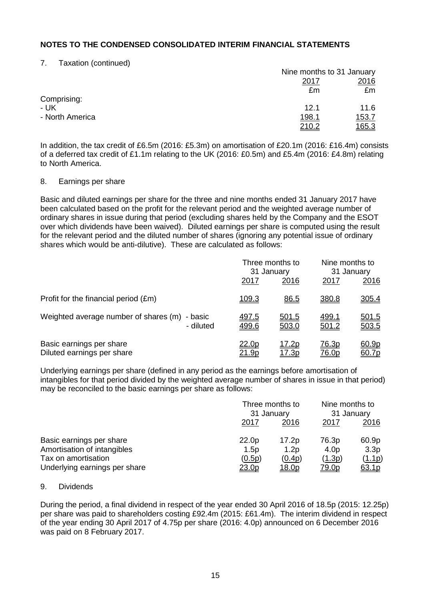## 7. Taxation (continued)

|                 |               | Nine months to 31 January |  |  |
|-----------------|---------------|---------------------------|--|--|
|                 | 2017          | <u>2016</u>               |  |  |
|                 | £m            | £m                        |  |  |
| Comprising:     |               |                           |  |  |
| - UK            | 12.1          | 11.6                      |  |  |
| - North America | <u> 198.1</u> | <u>153.7</u>              |  |  |
|                 | 210.2         | <u> 165.3</u>             |  |  |

In addition, the tax credit of £6.5m (2016: £5.3m) on amortisation of £20.1m (2016: £16.4m) consists of a deferred tax credit of £1.1m relating to the UK (2016: £0.5m) and £5.4m (2016: £4.8m) relating to North America.

## 8. Earnings per share

Basic and diluted earnings per share for the three and nine months ended 31 January 2017 have been calculated based on the profit for the relevant period and the weighted average number of ordinary shares in issue during that period (excluding shares held by the Company and the ESOT over which dividends have been waived). Diluted earnings per share is computed using the result for the relevant period and the diluted number of shares (ignoring any potential issue of ordinary shares which would be anti-dilutive). These are calculated as follows:

|                                                            | Three months to<br>31 January |                              | Nine months to<br>31 January |                       |
|------------------------------------------------------------|-------------------------------|------------------------------|------------------------------|-----------------------|
|                                                            | <u> 2017</u>                  | 2016                         | <u>2017</u>                  | <u>2016</u>           |
| Profit for the financial period (£m)                       | 109.3                         | 86.5                         | 380.8                        | 305.4                 |
| Weighted average number of shares (m) - basic<br>- diluted | <u>497.5</u><br>499.6         | 501.5<br>503.0               | <u>499.1</u><br>501.2        | <u>501.5</u><br>503.5 |
| Basic earnings per share<br>Diluted earnings per share     | <u>22.0p</u><br><u> 21.9p</u> | <u>17.2p</u><br><u>17.3p</u> | 76.3p<br><u>76.0p</u>        | 60.9p<br><u>60.7p</u> |

Underlying earnings per share (defined in any period as the earnings before amortisation of intangibles for that period divided by the weighted average number of shares in issue in that period) may be reconciled to the basic earnings per share as follows:

|                               |        | Three months to<br>31 January |                  | Nine months to<br>31 January |  |
|-------------------------------|--------|-------------------------------|------------------|------------------------------|--|
|                               | 2017   | 2016                          | 2017             | <u> 2016</u>                 |  |
| Basic earnings per share      | 22.0p  | 17.2p                         | 76.3p            | 60.9p                        |  |
| Amortisation of intangibles   | 1.5p   | 1.2p                          | 4.0 <sub>p</sub> | 3.3p                         |  |
| Tax on amortisation           | (0.5p) | (0.4p)                        | (1.3p)           | (1.1p)                       |  |
| Underlying earnings per share | 23.0p  | <u> 18.0p</u>                 | 79.0p            | 63.1p                        |  |

#### 9. Dividends

During the period, a final dividend in respect of the year ended 30 April 2016 of 18.5p (2015: 12.25p) per share was paid to shareholders costing £92.4m (2015: £61.4m). The interim dividend in respect of the year ending 30 April 2017 of 4.75p per share (2016: 4.0p) announced on 6 December 2016 was paid on 8 February 2017.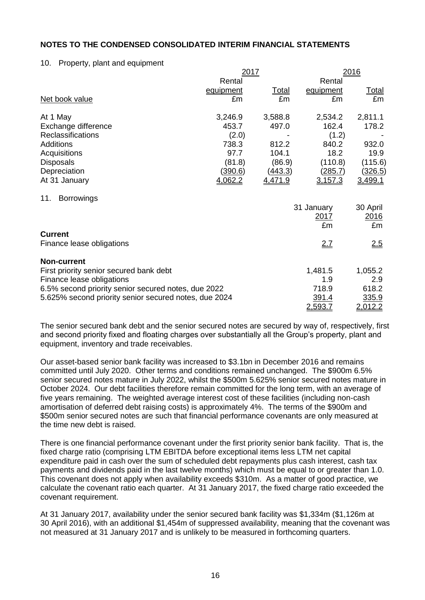## 10. Property, plant and equipment

|                                                       | 2017           |              |                | 2016           |
|-------------------------------------------------------|----------------|--------------|----------------|----------------|
|                                                       | Rental         |              | Rental         |                |
|                                                       | equipment      | <u>Total</u> | equipment      | <b>Total</b>   |
| Net book value                                        | £m             | £m           | £m             | £m             |
| At 1 May                                              | 3,246.9        | 3,588.8      | 2,534.2        | 2,811.1        |
| Exchange difference                                   | 453.7          | 497.0        | 162.4          | 178.2          |
| <b>Reclassifications</b>                              | (2.0)          |              | (1.2)          |                |
| <b>Additions</b>                                      | 738.3          | 812.2        | 840.2          | 932.0          |
| Acquisitions                                          | 97.7           | 104.1        | 18.2           | 19.9           |
| <b>Disposals</b>                                      | (81.8)         | (86.9)       | (110.8)        | (115.6)        |
| Depreciation                                          | <u>(390.6)</u> | (443.3)      | <u>(285.7)</u> | <u>(326.5)</u> |
| At 31 January                                         | 4,062.2        | 4,471.9      | 3,157.3        | 3,499.1        |
| <b>Borrowings</b><br>11.                              |                |              |                |                |
|                                                       |                |              | 31 January     | 30 April       |
|                                                       |                |              | 2017           | 2016           |
|                                                       |                |              | £m             | £m             |
| <b>Current</b>                                        |                |              |                |                |
| Finance lease obligations                             |                |              | 2.7            | <u>2.5</u>     |
| <b>Non-current</b>                                    |                |              |                |                |
| First priority senior secured bank debt               |                |              | 1,481.5        | 1,055.2        |
| Finance lease obligations                             |                |              | 1.9            | 2.9            |
| 6.5% second priority senior secured notes, due 2022   |                |              | 718.9          | 618.2          |
| 5.625% second priority senior secured notes, due 2024 |                |              | 391.4          | 335.9          |
|                                                       |                |              | 2,593.7        | 2,012.2        |

The senior secured bank debt and the senior secured notes are secured by way of, respectively, first and second priority fixed and floating charges over substantially all the Group's property, plant and equipment, inventory and trade receivables.

Our asset-based senior bank facility was increased to \$3.1bn in December 2016 and remains committed until July 2020. Other terms and conditions remained unchanged. The \$900m 6.5% senior secured notes mature in July 2022, whilst the \$500m 5.625% senior secured notes mature in October 2024. Our debt facilities therefore remain committed for the long term, with an average of five years remaining. The weighted average interest cost of these facilities (including non-cash amortisation of deferred debt raising costs) is approximately 4%. The terms of the \$900m and \$500m senior secured notes are such that financial performance covenants are only measured at the time new debt is raised.

There is one financial performance covenant under the first priority senior bank facility. That is, the fixed charge ratio (comprising LTM EBITDA before exceptional items less LTM net capital expenditure paid in cash over the sum of scheduled debt repayments plus cash interest, cash tax payments and dividends paid in the last twelve months) which must be equal to or greater than 1.0. This covenant does not apply when availability exceeds \$310m. As a matter of good practice, we calculate the covenant ratio each quarter. At 31 January 2017, the fixed charge ratio exceeded the covenant requirement.

At 31 January 2017, availability under the senior secured bank facility was \$1,334m (\$1,126m at 30 April 2016), with an additional \$1,454m of suppressed availability, meaning that the covenant was not measured at 31 January 2017 and is unlikely to be measured in forthcoming quarters.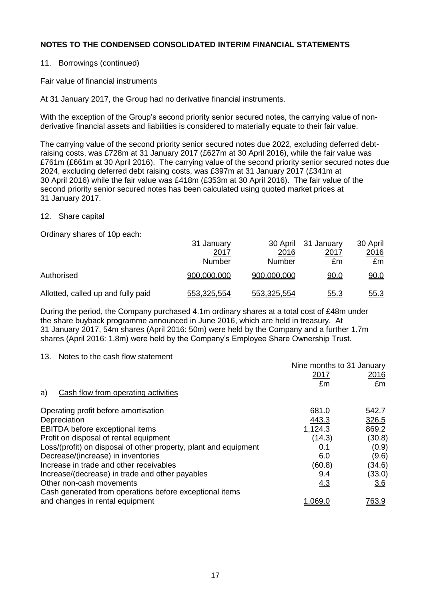# 11. Borrowings (continued)

# Fair value of financial instruments

At 31 January 2017, the Group had no derivative financial instruments.

With the exception of the Group's second priority senior secured notes, the carrying value of nonderivative financial assets and liabilities is considered to materially equate to their fair value.

The carrying value of the second priority senior secured notes due 2022, excluding deferred debtraising costs, was £728m at 31 January 2017 (£627m at 30 April 2016), while the fair value was £761m (£661m at 30 April 2016). The carrying value of the second priority senior secured notes due 2024, excluding deferred debt raising costs, was £397m at 31 January 2017 (£341m at 30 April 2016) while the fair value was £418m (£353m at 30 April 2016). The fair value of the second priority senior secured notes has been calculated using quoted market prices at 31 January 2017.

## 12. Share capital

Ordinary shares of 10p each:

|                                    | 31 January    |             | 30 April 31 January | 30 April    |
|------------------------------------|---------------|-------------|---------------------|-------------|
|                                    | 2017          | 2016        | 2017                | 2016        |
|                                    | <b>Number</b> | Number      | £m                  | £m          |
| Authorised                         | 900,000,000   | 900,000,000 | <u>90.0</u>         | 90.0        |
| Allotted, called up and fully paid | 553.325.554   | 553.325.554 | <u>55.3</u>         | <u>55.3</u> |

During the period, the Company purchased 4.1m ordinary shares at a total cost of £48m under the share buyback programme announced in June 2016, which are held in treasury. At 31 January 2017, 54m shares (April 2016: 50m) were held by the Company and a further 1.7m shares (April 2016: 1.8m) were held by the Company's Employee Share Ownership Trust.

13. Notes to the cash flow statement

|                                                                  | Nine months to 31 January |              |
|------------------------------------------------------------------|---------------------------|--------------|
|                                                                  | 2017                      | <u>2016</u>  |
|                                                                  | £m                        | £m           |
| Cash flow from operating activities<br>a)                        |                           |              |
| Operating profit before amortisation                             | 681.0                     | 542.7        |
| Depreciation                                                     | 443.3                     | 326.5        |
| EBITDA before exceptional items                                  | 1,124.3                   | 869.2        |
| Profit on disposal of rental equipment                           | (14.3)                    | (30.8)       |
| Loss/(profit) on disposal of other property, plant and equipment | 0.1                       | (0.9)        |
| Decrease/(increase) in inventories                               | 6.0                       | (9.6)        |
| Increase in trade and other receivables                          | (60.8)                    | (34.6)       |
| Increase/(decrease) in trade and other payables                  | 9.4                       | (33.0)       |
| Other non-cash movements                                         | <u>4.3</u>                | 3.6          |
| Cash generated from operations before exceptional items          |                           |              |
| and changes in rental equipment                                  | 1.069.0                   | <u>763.9</u> |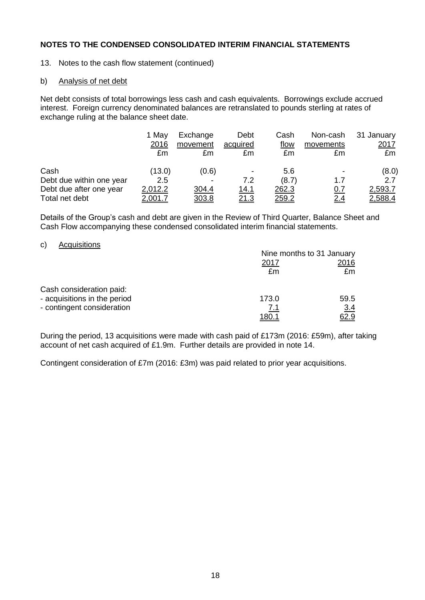13. Notes to the cash flow statement (continued)

## b) Analysis of net debt

Net debt consists of total borrowings less cash and cash equivalents. Borrowings exclude accrued interest. Foreign currency denominated balances are retranslated to pounds sterling at rates of exchange ruling at the balance sheet date.

|                          | 1 May<br>2016<br>£m | Exchange<br>movement<br>£m | Debt<br>acquired<br>£m | Cash<br><u>flow</u><br>£m | Non-cash<br>movements<br>£m | 31 January<br><u> 2017 </u><br>£m |
|--------------------------|---------------------|----------------------------|------------------------|---------------------------|-----------------------------|-----------------------------------|
| Cash                     | (13.0)              | (0.6)                      | $\blacksquare$         | 5.6                       | -                           | (8.0)                             |
| Debt due within one year | 2.5                 |                            | 7.2                    | (8.7)                     | 1.7                         | 2.7                               |
| Debt due after one year  | 2,012.2             | 304.4                      | <u>14.1</u>            | 262.3                     | <u>0.7</u>                  | 2,593.7                           |
| Total net debt           | <u>2.001.7</u>      | <u>303.8</u>               | <u>21.3</u>            | <u> 259.2</u>             | 2.4                         | 2,588.4                           |

Details of the Group's cash and debt are given in the Review of Third Quarter, Balance Sheet and Cash Flow accompanying these condensed consolidated interim financial statements.

## c) Acquisitions

|                              | Nine months to 31 January |            |  |
|------------------------------|---------------------------|------------|--|
|                              | 2017                      | 2016       |  |
|                              | £m                        | £m         |  |
| Cash consideration paid:     |                           |            |  |
| - acquisitions in the period | 173.0                     | 59.5       |  |
| - contingent consideration   | <u>7.1</u>                | <u>3.4</u> |  |
|                              | <u> 180.1</u>             |            |  |

During the period, 13 acquisitions were made with cash paid of £173m (2016: £59m), after taking account of net cash acquired of £1.9m. Further details are provided in note 14.

Contingent consideration of £7m (2016: £3m) was paid related to prior year acquisitions.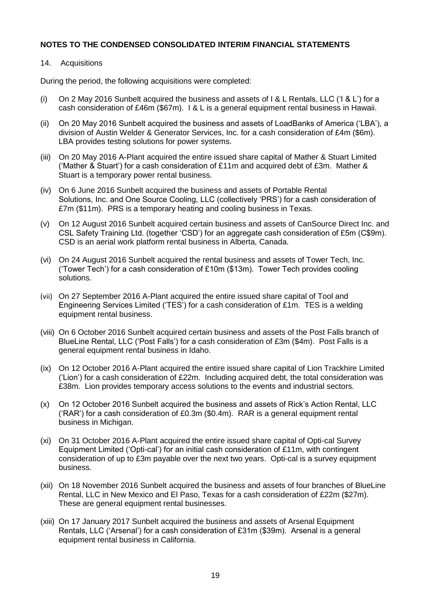## 14. Acquisitions

During the period, the following acquisitions were completed:

- (i) On 2 May 2016 Sunbelt acquired the business and assets of I & L Rentals, LLC ('I & L') for a cash consideration of £46m (\$67m). I & L is a general equipment rental business in Hawaii.
- (ii) On 20 May 2016 Sunbelt acquired the business and assets of LoadBanks of America ('LBA'), a division of Austin Welder & Generator Services, Inc. for a cash consideration of £4m (\$6m). LBA provides testing solutions for power systems.
- (iii) On 20 May 2016 A-Plant acquired the entire issued share capital of Mather & Stuart Limited ('Mather & Stuart') for a cash consideration of £11m and acquired debt of  $£3m$ . Mather & Stuart is a temporary power rental business.
- (iv) On 6 June 2016 Sunbelt acquired the business and assets of Portable Rental Solutions, Inc. and One Source Cooling, LLC (collectively 'PRS') for a cash consideration of £7m (\$11m). PRS is a temporary heating and cooling business in Texas.
- (v) On 12 August 2016 Sunbelt acquired certain business and assets of CanSource Direct Inc. and CSL Safety Training Ltd. (together 'CSD') for an aggregate cash consideration of £5m (C\$9m). CSD is an aerial work platform rental business in Alberta, Canada.
- (vi) On 24 August 2016 Sunbelt acquired the rental business and assets of Tower Tech, Inc. ('Tower Tech') for a cash consideration of £10m (\$13m). Tower Tech provides cooling solutions.
- (vii) On 27 September 2016 A-Plant acquired the entire issued share capital of Tool and Engineering Services Limited ('TES') for a cash consideration of £1m. TES is a welding equipment rental business.
- (viii) On 6 October 2016 Sunbelt acquired certain business and assets of the Post Falls branch of BlueLine Rental, LLC ('Post Falls') for a cash consideration of £3m (\$4m). Post Falls is a general equipment rental business in Idaho.
- (ix) On 12 October 2016 A-Plant acquired the entire issued share capital of Lion Trackhire Limited ('Lion') for a cash consideration of £22m. Including acquired debt, the total consideration was £38m. Lion provides temporary access solutions to the events and industrial sectors.
- (x) On 12 October 2016 Sunbelt acquired the business and assets of Rick's Action Rental, LLC ('RAR') for a cash consideration of £0.3m (\$0.4m). RAR is a general equipment rental business in Michigan.
- (xi) On 31 October 2016 A-Plant acquired the entire issued share capital of Opti-cal Survey Equipment Limited ('Opti-cal') for an initial cash consideration of £11m, with contingent consideration of up to £3m payable over the next two years. Opti-cal is a survey equipment business.
- (xii) On 18 November 2016 Sunbelt acquired the business and assets of four branches of BlueLine Rental, LLC in New Mexico and El Paso, Texas for a cash consideration of £22m (\$27m). These are general equipment rental businesses.
- (xiii) On 17 January 2017 Sunbelt acquired the business and assets of Arsenal Equipment Rentals, LLC ('Arsenal') for a cash consideration of £31m (\$39m). Arsenal is a general equipment rental business in California.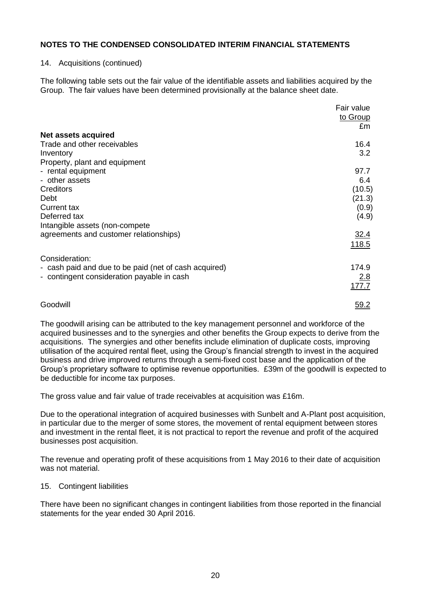### 14. Acquisitions (continued)

The following table sets out the fair value of the identifiable assets and liabilities acquired by the Group. The fair values have been determined provisionally at the balance sheet date.

|                                                       | Fair value<br>to Group |
|-------------------------------------------------------|------------------------|
|                                                       | £m                     |
| Net assets acquired                                   |                        |
| Trade and other receivables                           | 16.4                   |
| Inventory                                             | 3.2                    |
| Property, plant and equipment                         |                        |
| - rental equipment                                    | 97.7                   |
| - other assets                                        | 6.4                    |
| Creditors                                             | (10.5)                 |
| Debt                                                  | (21.3)                 |
| <b>Current tax</b>                                    | (0.9)                  |
| Deferred tax                                          | (4.9)                  |
| Intangible assets (non-compete                        |                        |
| agreements and customer relationships)                | 32.4                   |
|                                                       | 118.5                  |
|                                                       |                        |
| Consideration:                                        |                        |
| - cash paid and due to be paid (net of cash acquired) | 174.9                  |
| - contingent consideration payable in cash            | 2.8                    |
|                                                       | 177.7                  |
|                                                       |                        |
| Goodwill                                              | 59.2                   |

The goodwill arising can be attributed to the key management personnel and workforce of the acquired businesses and to the synergies and other benefits the Group expects to derive from the acquisitions. The synergies and other benefits include elimination of duplicate costs, improving utilisation of the acquired rental fleet, using the Group's financial strength to invest in the acquired business and drive improved returns through a semi-fixed cost base and the application of the Group's proprietary software to optimise revenue opportunities. £39m of the goodwill is expected to be deductible for income tax purposes.

The gross value and fair value of trade receivables at acquisition was £16m.

Due to the operational integration of acquired businesses with Sunbelt and A-Plant post acquisition, in particular due to the merger of some stores, the movement of rental equipment between stores and investment in the rental fleet, it is not practical to report the revenue and profit of the acquired businesses post acquisition.

The revenue and operating profit of these acquisitions from 1 May 2016 to their date of acquisition was not material.

# 15. Contingent liabilities

There have been no significant changes in contingent liabilities from those reported in the financial statements for the year ended 30 April 2016.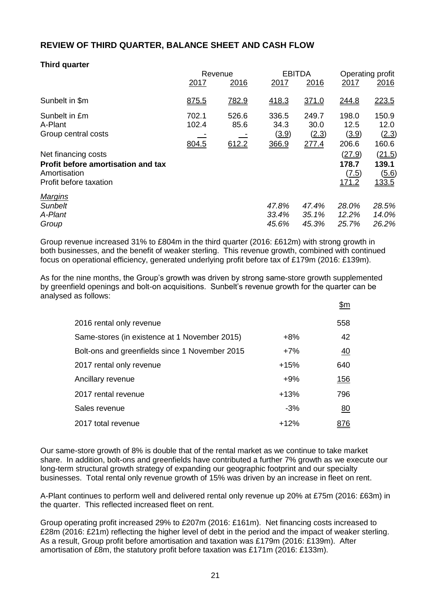# **REVIEW OF THIRD QUARTER, BALANCE SHEET AND CASH FLOW**

# **Third quarter**

|                                                                                                     | Revenue                 |                        |                                 | <b>EBITDA</b>                   |                                          | Operating profit                         |  |
|-----------------------------------------------------------------------------------------------------|-------------------------|------------------------|---------------------------------|---------------------------------|------------------------------------------|------------------------------------------|--|
|                                                                                                     | 2017                    | 2016                   | 2017                            | 2016                            | 2017                                     | 2016                                     |  |
| Sunbelt in \$m                                                                                      | 875.5                   | 782.9                  | 418.3                           | 371.0                           | 244.8                                    | 223.5                                    |  |
| Sunbelt in £m<br>A-Plant<br>Group central costs                                                     | 702.1<br>102.4<br>804.5 | 526.6<br>85.6<br>612.2 | 336.5<br>34.3<br>(3.9)<br>366.9 | 249.7<br>30.0<br>(2.3)<br>277.4 | 198.0<br>12.5<br>(3.9)<br>206.6          | 150.9<br>12.0<br>(2.3)<br>160.6          |  |
| Net financing costs<br>Profit before amortisation and tax<br>Amortisation<br>Profit before taxation |                         |                        |                                 |                                 | (27.9)<br>178.7<br>(7.5)<br><u>171.2</u> | (21.5)<br>139.1<br>(5.6)<br><u>133.5</u> |  |
| <b>Margins</b><br><b>Sunbelt</b><br>A-Plant<br>Group                                                |                         |                        | 47.8%<br>33.4%<br>45.6%         | 47.4%<br>35.1%<br>45.3%         | 28.0%<br>12.2%<br>25.7%                  | 28.5%<br>14.0%<br>26.2%                  |  |

Group revenue increased 31% to £804m in the third quarter (2016: £612m) with strong growth in both businesses, and the benefit of weaker sterling. This revenue growth, combined with continued focus on operational efficiency, generated underlying profit before tax of £179m (2016: £139m).

As for the nine months, the Group's growth was driven by strong same-store growth supplemented by greenfield openings and bolt-on acquisitions. Sunbelt's revenue growth for the quarter can be analysed as follows:  $\uparrow$ 

|                                                |        | <u> سر</u>     |
|------------------------------------------------|--------|----------------|
| 2016 rental only revenue                       |        | 558            |
| Same-stores (in existence at 1 November 2015)  | $+8%$  | 42             |
| Bolt-ons and greenfields since 1 November 2015 | $+7%$  | $\frac{40}{1}$ |
| 2017 rental only revenue                       | $+15%$ | 640            |
| Ancillary revenue                              | $+9%$  | <u> 156</u>    |
| 2017 rental revenue                            | $+13%$ | 796            |
| Sales revenue                                  | $-3%$  | 80             |
| 2017 total revenue                             | $+12%$ |                |

Our same-store growth of 8% is double that of the rental market as we continue to take market share. In addition, bolt-ons and greenfields have contributed a further 7% growth as we execute our long-term structural growth strategy of expanding our geographic footprint and our specialty businesses. Total rental only revenue growth of 15% was driven by an increase in fleet on rent.

A-Plant continues to perform well and delivered rental only revenue up 20% at £75m (2016: £63m) in the quarter. This reflected increased fleet on rent.

Group operating profit increased 29% to £207m (2016: £161m). Net financing costs increased to £28m (2016: £21m) reflecting the higher level of debt in the period and the impact of weaker sterling. As a result, Group profit before amortisation and taxation was £179m (2016: £139m). After amortisation of £8m, the statutory profit before taxation was £171m (2016: £133m).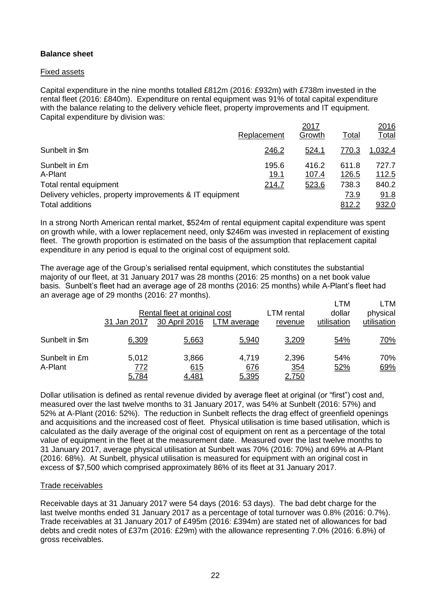# **Balance sheet**

## Fixed assets

Capital expenditure in the nine months totalled £812m (2016: £932m) with £738m invested in the rental fleet (2016: £840m). Expenditure on rental equipment was 91% of total capital expenditure with the balance relating to the delivery vehicle fleet, property improvements and IT equipment. Capital expenditure by division was:

|                                                         |                      | 2017           |                       | 2016                  |
|---------------------------------------------------------|----------------------|----------------|-----------------------|-----------------------|
|                                                         | Replacement          | Growth         | Total                 | <u>Total</u>          |
| Sunbelt in \$m                                          | 246.2                | <u>524.1</u>   | 770.3                 | 1.032.4               |
| Sunbelt in £m<br>A-Plant                                | 195.6<br><u>19.1</u> | 416.2<br>107.4 | 611.8<br><u>126.5</u> | 727.7<br><u>112.5</u> |
| Total rental equipment                                  | 214.7                | 523.6          | 738.3                 | 840.2                 |
| Delivery vehicles, property improvements & IT equipment |                      |                | 73.9                  | 91.8                  |
| Total additions                                         |                      |                | 812.2                 | 932.0                 |

In a strong North American rental market, \$524m of rental equipment capital expenditure was spent on growth while, with a lower replacement need, only \$246m was invested in replacement of existing fleet. The growth proportion is estimated on the basis of the assumption that replacement capital expenditure in any period is equal to the original cost of equipment sold.

The average age of the Group's serialised rental equipment, which constitutes the substantial majority of our fleet, at 31 January 2017 was 28 months (2016: 25 months) on a net book value basis. Sunbelt's fleet had an average age of 28 months (2016: 25 months) while A-Plant's fleet had an average age of 29 months (2016: 27 months).

|                          | 31 Jan 2017           | Rental fleet at original cost<br>30 April 2016 | LTM average           | LTM rental<br>revenue               | <b>LTM</b><br>dollar<br>utilisation | LTM<br>physical<br>utilisation |
|--------------------------|-----------------------|------------------------------------------------|-----------------------|-------------------------------------|-------------------------------------|--------------------------------|
| Sunbelt in \$m           | 6,309                 | 5,663                                          | 5,940                 | 3,209                               | 54%                                 | <u>70%</u>                     |
| Sunbelt in £m<br>A-Plant | 5,012<br>772<br>5,784 | 3,866<br>615<br><u>4,481</u>                   | 4,719<br>676<br>5,395 | 2,396<br><u>354</u><br><u>2,750</u> | 54%<br>52%                          | 70%<br>69%                     |

Dollar utilisation is defined as rental revenue divided by average fleet at original (or "first") cost and, measured over the last twelve months to 31 January 2017, was 54% at Sunbelt (2016: 57%) and 52% at A-Plant (2016: 52%). The reduction in Sunbelt reflects the drag effect of greenfield openings and acquisitions and the increased cost of fleet. Physical utilisation is time based utilisation, which is calculated as the daily average of the original cost of equipment on rent as a percentage of the total value of equipment in the fleet at the measurement date. Measured over the last twelve months to 31 January 2017, average physical utilisation at Sunbelt was 70% (2016: 70%) and 69% at A-Plant (2016: 68%). At Sunbelt, physical utilisation is measured for equipment with an original cost in excess of \$7,500 which comprised approximately 86% of its fleet at 31 January 2017.

# Trade receivables

Receivable days at 31 January 2017 were 54 days (2016: 53 days). The bad debt charge for the last twelve months ended 31 January 2017 as a percentage of total turnover was 0.8% (2016: 0.7%). Trade receivables at 31 January 2017 of £495m (2016: £394m) are stated net of allowances for bad debts and credit notes of £37m (2016: £29m) with the allowance representing 7.0% (2016: 6.8%) of gross receivables.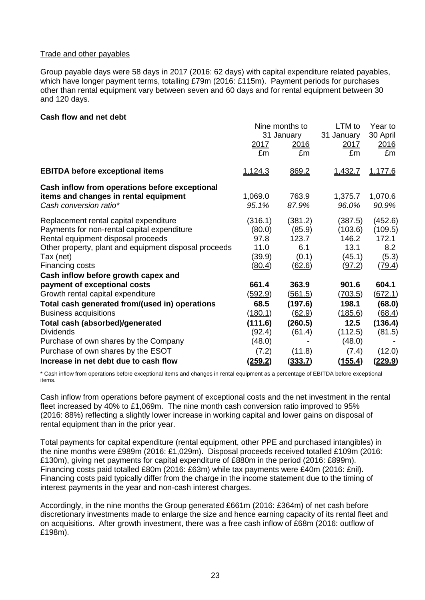## Trade and other payables

Group payable days were 58 days in 2017 (2016: 62 days) with capital expenditure related payables, which have longer payment terms, totalling £79m (2016: £115m). Payment periods for purchases other than rental equipment vary between seven and 60 days and for rental equipment between 30 and 120 days.

## **Cash flow and net debt**

|                                                       |                | Nine months to | LTM to      | Year to        |  |
|-------------------------------------------------------|----------------|----------------|-------------|----------------|--|
|                                                       | 31 January     |                | 31 January  | 30 April       |  |
|                                                       | <u>2017</u>    | <u>2016</u>    | <u>2017</u> | 2016           |  |
|                                                       | £m             | £m             | £m          | £m             |  |
| <b>EBITDA before exceptional items</b>                | 1,124.3        | 869.2          | 1,432.7     | 1,177.6        |  |
| Cash inflow from operations before exceptional        |                |                |             |                |  |
| items and changes in rental equipment                 | 1,069.0        | 763.9          | 1,375.7     | 1,070.6        |  |
| Cash conversion ratio*                                | 95.1%          | 87.9%          | 96.0%       | 90.9%          |  |
| Replacement rental capital expenditure                | (316.1)        | (381.2)        | (387.5)     | (452.6)        |  |
| Payments for non-rental capital expenditure           | (80.0)         | (85.9)         | (103.6)     | (109.5)        |  |
| Rental equipment disposal proceeds                    | 97.8           | 123.7          | 146.2       | 172.1          |  |
| Other property, plant and equipment disposal proceeds | 11.0           | 6.1            | 13.1        | 8.2            |  |
| Tax (net)                                             | (39.9)         | (0.1)          | (45.1)      | (5.3)          |  |
| Financing costs                                       | (80.4)         | (62.6)         | (97.2)      | (79.4)         |  |
| Cash inflow before growth capex and                   |                |                |             |                |  |
| payment of exceptional costs                          | 661.4          | 363.9          | 901.6       | 604.1          |  |
| Growth rental capital expenditure                     | <u>(592.9)</u> | (561.5)        | (703.5)     | (672.1)        |  |
| Total cash generated from/(used in) operations        | 68.5           | (197.6)        | 198.1       | (68.0)         |  |
| <b>Business acquisitions</b>                          | (180.1)        | (62.9)         | (185.6)     | (68.4)         |  |
| Total cash (absorbed)/generated                       | (111.6)        | (260.5)        | 12.5        | (136.4)        |  |
| <b>Dividends</b>                                      | (92.4)         | (61.4)         | (112.5)     | (81.5)         |  |
| Purchase of own shares by the Company                 | (48.0)         |                | (48.0)      |                |  |
| Purchase of own shares by the ESOT                    | (7.2)          | (11.8)         | (7.4)       | (12.0)         |  |
| Increase in net debt due to cash flow                 | <u>(259.2)</u> | (333.7)        | (155.4)     | <u>(229.9)</u> |  |

\* Cash inflow from operations before exceptional items and changes in rental equipment as a percentage of EBITDA before exceptional items.

Cash inflow from operations before payment of exceptional costs and the net investment in the rental fleet increased by 40% to £1,069m. The nine month cash conversion ratio improved to 95% (2016: 88%) reflecting a slightly lower increase in working capital and lower gains on disposal of rental equipment than in the prior year.

Total payments for capital expenditure (rental equipment, other PPE and purchased intangibles) in the nine months were £989m (2016: £1,029m). Disposal proceeds received totalled £109m (2016: £130m), giving net payments for capital expenditure of £880m in the period (2016: £899m). Financing costs paid totalled £80m (2016: £63m) while tax payments were £40m (2016: £nil). Financing costs paid typically differ from the charge in the income statement due to the timing of interest payments in the year and non-cash interest charges.

Accordingly, in the nine months the Group generated £661m (2016: £364m) of net cash before discretionary investments made to enlarge the size and hence earning capacity of its rental fleet and on acquisitions. After growth investment, there was a free cash inflow of £68m (2016: outflow of £198m).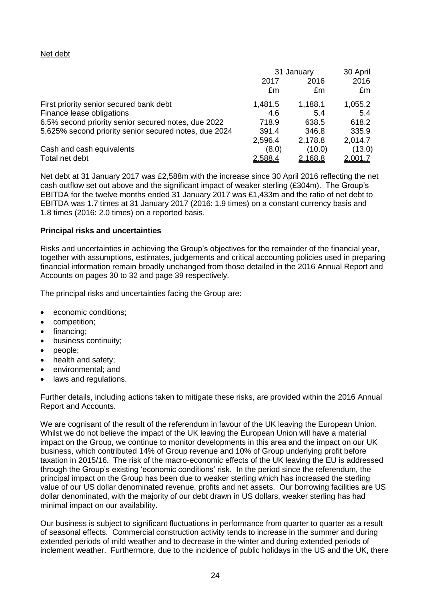# Net debt

|                                                       | 31 January  | 30 April |                |
|-------------------------------------------------------|-------------|----------|----------------|
|                                                       | <u>2017</u> | 2016     | 2016           |
|                                                       | £m          | £m       | £m             |
| First priority senior secured bank debt               | 1,481.5     | 1,188.1  | 1,055.2        |
| Finance lease obligations                             | 4.6         | 5.4      | 5.4            |
| 6.5% second priority senior secured notes, due 2022   | 718.9       | 638.5    | 618.2          |
| 5.625% second priority senior secured notes, due 2024 | 391.4       | 346.8    | 335.9          |
|                                                       | 2,596.4     | 2,178.8  | 2,014.7        |
| Cash and cash equivalents                             | (8.0)       | (10.0)   | (13.0)         |
| Total net debt                                        | 2,588.4     | 2,168.8  | <u>2.001.7</u> |

Net debt at 31 January 2017 was £2,588m with the increase since 30 April 2016 reflecting the net cash outflow set out above and the significant impact of weaker sterling (£304m). The Group's EBITDA for the twelve months ended 31 January 2017 was £1,433m and the ratio of net debt to EBITDA was 1.7 times at 31 January 2017 (2016: 1.9 times) on a constant currency basis and 1.8 times (2016: 2.0 times) on a reported basis.

# **Principal risks and uncertainties**

Risks and uncertainties in achieving the Group's objectives for the remainder of the financial year, together with assumptions, estimates, judgements and critical accounting policies used in preparing financial information remain broadly unchanged from those detailed in the 2016 Annual Report and Accounts on pages 30 to 32 and page 39 respectively.

The principal risks and uncertainties facing the Group are:

- economic conditions;
- competition;
- financing;
- **•** business continuity;
- people;
- health and safety;
- environmental; and
- laws and regulations.

Further details, including actions taken to mitigate these risks, are provided within the 2016 Annual Report and Accounts.

We are cognisant of the result of the referendum in favour of the UK leaving the European Union. Whilst we do not believe the impact of the UK leaving the European Union will have a material impact on the Group, we continue to monitor developments in this area and the impact on our UK business, which contributed 14% of Group revenue and 10% of Group underlying profit before taxation in 2015/16. The risk of the macro-economic effects of the UK leaving the EU is addressed through the Group's existing 'economic conditions' risk. In the period since the referendum, the principal impact on the Group has been due to weaker sterling which has increased the sterling value of our US dollar denominated revenue, profits and net assets. Our borrowing facilities are US dollar denominated, with the majority of our debt drawn in US dollars, weaker sterling has had minimal impact on our availability.

Our business is subject to significant fluctuations in performance from quarter to quarter as a result of seasonal effects. Commercial construction activity tends to increase in the summer and during extended periods of mild weather and to decrease in the winter and during extended periods of inclement weather. Furthermore, due to the incidence of public holidays in the US and the UK, there